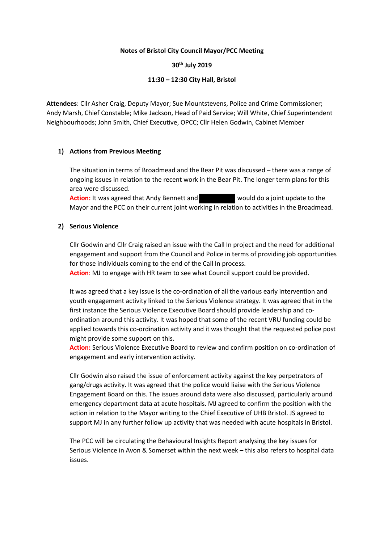## **Notes of Bristol City Council Mayor/PCC Meeting**

## **30th July 2019**

# **11:30 – 12:30 City Hall, Bristol**

**Attendees**: Cllr Asher Craig, Deputy Mayor; Sue Mountstevens, Police and Crime Commissioner; Andy Marsh, Chief Constable; Mike Jackson, Head of Paid Service; Will White, Chief Superintendent Neighbourhoods; John Smith, Chief Executive, OPCC; Cllr Helen Godwin, Cabinet Member

# **1) Actions from Previous Meeting**

The situation in terms of Broadmead and the Bear Pit was discussed – there was a range of ongoing issues in relation to the recent work in the Bear Pit. The longer term plans for this area were discussed.

**Action:** It was agreed that Andy Bennett and **would do a joint update to the** Mayor and the PCC on their current joint working in relation to activities in the Broadmead.

## **2) Serious Violence**

Cllr Godwin and Cllr Craig raised an issue with the Call In project and the need for additional engagement and support from the Council and Police in terms of providing job opportunities for those individuals coming to the end of the Call In process.

**Action**: MJ to engage with HR team to see what Council support could be provided.

It was agreed that a key issue is the co-ordination of all the various early intervention and youth engagement activity linked to the Serious Violence strategy. It was agreed that in the first instance the Serious Violence Executive Board should provide leadership and coordination around this activity. It was hoped that some of the recent VRU funding could be applied towards this co-ordination activity and it was thought that the requested police post might provide some support on this.

**Action:** Serious Violence Executive Board to review and confirm position on co-ordination of engagement and early intervention activity.

Cllr Godwin also raised the issue of enforcement activity against the key perpetrators of gang/drugs activity. It was agreed that the police would liaise with the Serious Violence Engagement Board on this. The issues around data were also discussed, particularly around emergency department data at acute hospitals. MJ agreed to confirm the position with the action in relation to the Mayor writing to the Chief Executive of UHB Bristol. JS agreed to support MJ in any further follow up activity that was needed with acute hospitals in Bristol.

The PCC will be circulating the Behavioural Insights Report analysing the key issues for Serious Violence in Avon & Somerset within the next week – this also refers to hospital data issues.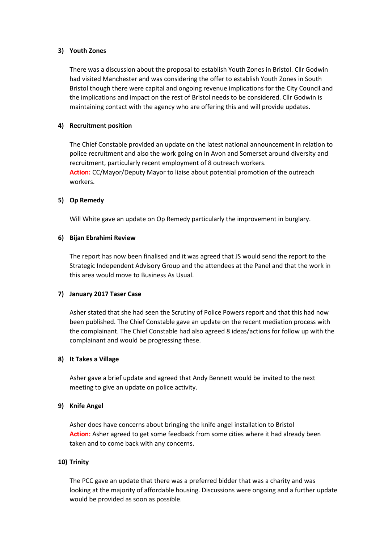### **3) Youth Zones**

There was a discussion about the proposal to establish Youth Zones in Bristol. Cllr Godwin had visited Manchester and was considering the offer to establish Youth Zones in South Bristol though there were capital and ongoing revenue implications for the City Council and the implications and impact on the rest of Bristol needs to be considered. Cllr Godwin is maintaining contact with the agency who are offering this and will provide updates.

### **4) Recruitment position**

The Chief Constable provided an update on the latest national announcement in relation to police recruitment and also the work going on in Avon and Somerset around diversity and recruitment, particularly recent employment of 8 outreach workers. **Action:** CC/Mayor/Deputy Mayor to liaise about potential promotion of the outreach workers.

## **5) Op Remedy**

Will White gave an update on Op Remedy particularly the improvement in burglary.

### **6) Bijan Ebrahimi Review**

The report has now been finalised and it was agreed that JS would send the report to the Strategic Independent Advisory Group and the attendees at the Panel and that the work in this area would move to Business As Usual.

#### **7) January 2017 Taser Case**

Asher stated that she had seen the Scrutiny of Police Powers report and that this had now been published. The Chief Constable gave an update on the recent mediation process with the complainant. The Chief Constable had also agreed 8 ideas/actions for follow up with the complainant and would be progressing these.

#### **8) It Takes a Village**

Asher gave a brief update and agreed that Andy Bennett would be invited to the next meeting to give an update on police activity.

# **9) Knife Angel**

Asher does have concerns about bringing the knife angel installation to Bristol **Action:** Asher agreed to get some feedback from some cities where it had already been taken and to come back with any concerns.

## **10) Trinity**

The PCC gave an update that there was a preferred bidder that was a charity and was looking at the majority of affordable housing. Discussions were ongoing and a further update would be provided as soon as possible.